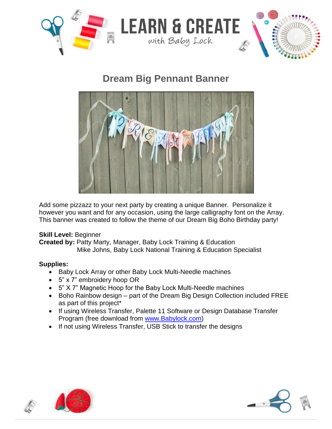

**Dream Big Pennant Banner**



Add some pizzazz to your next party by creating a unique Banner. Personalize it however you want and for any occasion, using the large calligraphy font on the Array. This banner was created to follow the theme of our Dream Big Boho Birthday party!

## **Skill Level:** Beginner

**Created by:** Patty Marty, Manager, Baby Lock Training & Education Mike Johns, Baby Lock National Training & Education Specialist

# **Supplies:**

- Baby Lock Array or other Baby Lock Multi-Needle machines
- 5" x 7" embroidery hoop OR
- 5" X 7" Magnetic Hoop for the Baby Lock Multi-Needle machines
- Boho Rainbow design part of the Dream Big Design Collection included FREE as part of this project\*
- If using Wireless Transfer, Palette 11 Software or Design Database Transfer Program (free download from [www.Babylock.com\)](http://www.babylock.com/)
- If not using Wireless Transfer, USB Stick to transfer the designs





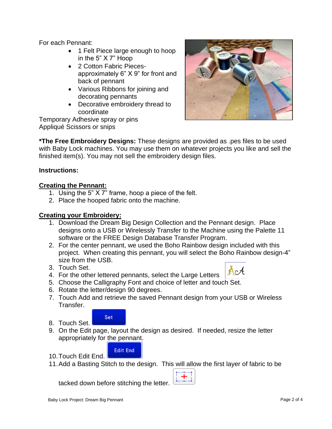For each Pennant:

- 1 Felt Piece large enough to hoop in the 5" X 7" Hoop
- 2 Cotton Fabric Piecesapproximately 6" X 9" for front and back of pennant
- Various Ribbons for joining and decorating pennants
- Decorative embroidery thread to coordinate

Temporary Adhesive spray or pins Appliqué Scissors or snips



**\*The Free Embroidery Designs:** These designs are provided as .pes files to be used with Baby Lock machines. You may use them on whatever projects you like and sell the finished item(s). You may not sell the embroidery design files.

## **Instructions:**

## **Creating the Pennant:**

- 1. Using the 5" X 7" frame, hoop a piece of the felt.
- 2. Place the hooped fabric onto the machine.

#### **Creating your Embroidery:**

- 1. Download the Dream Big Design Collection and the Pennant design. Place designs onto a USB or Wirelessly Transfer to the Machine using the Palette 11 software or the FREE Design Database Transfer Program.
- 2. For the center pennant, we used the Boho Rainbow design included with this project. When creating this pennant, you will select the Boho Rainbow design-4" size from the USB.
- 3. Touch Set.



- 4. For the other lettered pennants, select the Large Letters 5. Choose the Calligraphy Font and choice of letter and touch Set.
- 6. Rotate the letter/design 90 degrees.
- 7. Touch Add and retrieve the saved Pennant design from your USB or Wireless Transfer.



8. Touch Set.

10.Touch Edit End.

9. On the Edit page, layout the design as desired. If needed, resize the letter appropriately for the pennant.



11.Add a Basting Stitch to the design. This will allow the first layer of fabric to be

tacked down before stitching the letter.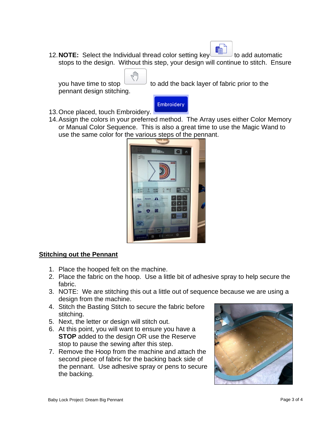12. **NOTE:** Select the Individual thread color setting key **the set of a** to add automatic stops to the design. Without this step, your design will continue to stitch. Ensure

pennant design stitching.

you have time to stop to add the back layer of fabric prior to the



ηſħ

14.Assign the colors in your preferred method. The Array uses either Color Memory or Manual Color Sequence. This is also a great time to use the Magic Wand to use the same color for the various steps of the pennant.



#### **Stitching out the Pennant**

- 1. Place the hooped felt on the machine.
- 2. Place the fabric on the hoop. Use a little bit of adhesive spray to help secure the fabric.
- 3. NOTE: We are stitching this out a little out of sequence because we are using a design from the machine.
- 4. Stitch the Basting Stitch to secure the fabric before stitching.
- 5. Next, the letter or design will stitch out.
- 6. At this point, you will want to ensure you have a **STOP** added to the design OR use the Reserve stop to pause the sewing after this step.
- 7. Remove the Hoop from the machine and attach the second piece of fabric for the backing back side of the pennant. Use adhesive spray or pens to secure the backing.

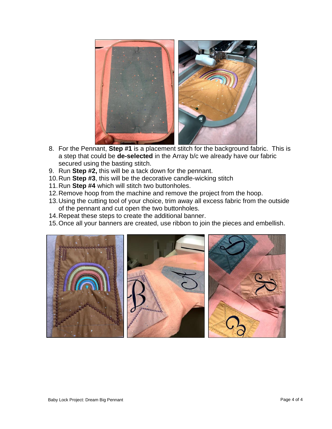

- 8. For the Pennant, **Step #1** is a placement stitch for the background fabric. This is a step that could be **de-selected** in the Array b/c we already have our fabric secured using the basting stitch.
- 9. Run **Step #2,** this will be a tack down for the pennant.
- 10.Run **Step #3**, this will be the decorative candle-wicking stitch
- 11.Run **Step #4** which will stitch two buttonholes.
- 12.Remove hoop from the machine and remove the project from the hoop.
- 13.Using the cutting tool of your choice, trim away all excess fabric from the outside of the pennant and cut open the two buttonholes.
- 14.Repeat these steps to create the additional banner.
- 15.Once all your banners are created, use ribbon to join the pieces and embellish.